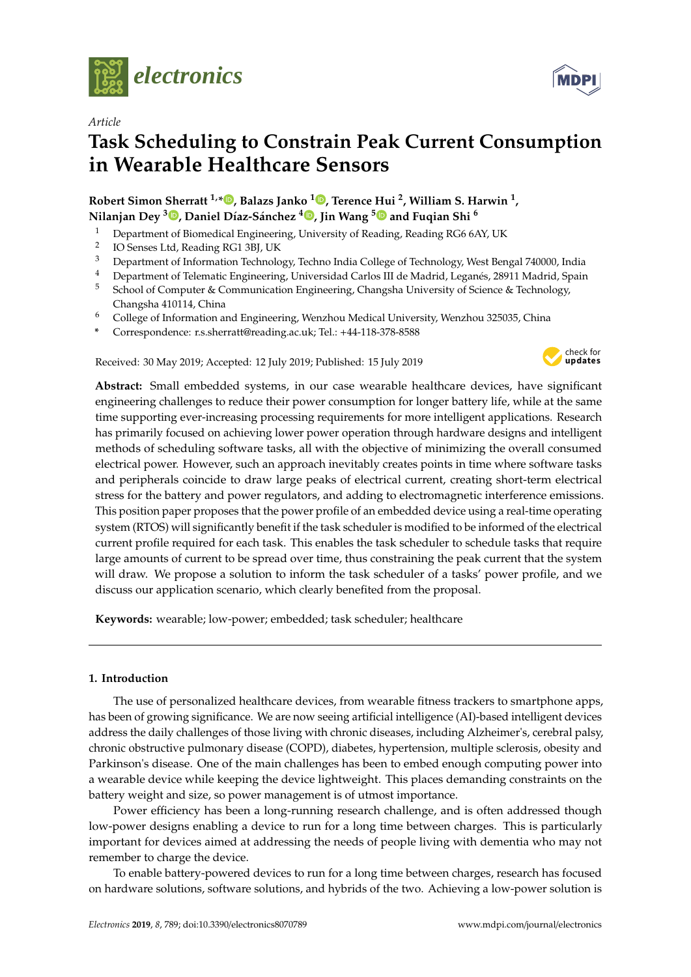

*Article*

# **Task Scheduling to Constrain Peak Current Consumption in Wearable Healthcare Sensors**

**Robert Simon Sherratt 1,\* [,](https://orcid.org/0000-0001-7899-4445) Balazs Janko <sup>1</sup> [,](https://orcid.org/0000-0002-8931-0587) Terence Hui <sup>2</sup> , William S. Harwin <sup>1</sup> , Nilanjan Dey <sup>3</sup> [,](https://orcid.org/0000-0001-8437-498X) Daniel Díaz-Sánchez <sup>4</sup> [,](https://orcid.org/0000-0002-3323-6453) Jin Wang [5](https://orcid.org/0000-0001-5473-8738) and Fuqian Shi <sup>6</sup>**

- <sup>1</sup> Department of Biomedical Engineering, University of Reading, Reading RG6 6AY, UK
- 2 IO Senses Ltd, Reading RG1 3BJ, UK
- <sup>3</sup> Department of Information Technology, Techno India College of Technology, West Bengal 740000, India<br><sup>4</sup> Department of Telematic Engineering, Universided Carlos III de Madrid, Leganés, 28911 Madrid, Spain
- <sup>4</sup> Department of Telematic Engineering, Universidad Carlos III de Madrid, Leganés, 28911 Madrid, Spain<br><sup>5</sup> School of Computer & Computication Engineering, Changsha University of Science & Technology
- <sup>5</sup> School of Computer & Communication Engineering, Changsha University of Science & Technology, Changsha 410114, China
- <sup>6</sup> College of Information and Engineering, Wenzhou Medical University, Wenzhou 325035, China
- **\*** Correspondence: r.s.sherratt@reading.ac.uk; Tel.: +44-118-378-8588

Received: 30 May 2019; Accepted: 12 July 2019; Published: 15 July 2019



**Abstract:** Small embedded systems, in our case wearable healthcare devices, have significant engineering challenges to reduce their power consumption for longer battery life, while at the same time supporting ever-increasing processing requirements for more intelligent applications. Research has primarily focused on achieving lower power operation through hardware designs and intelligent methods of scheduling software tasks, all with the objective of minimizing the overall consumed electrical power. However, such an approach inevitably creates points in time where software tasks and peripherals coincide to draw large peaks of electrical current, creating short-term electrical stress for the battery and power regulators, and adding to electromagnetic interference emissions. This position paper proposes that the power profile of an embedded device using a real-time operating system (RTOS) will significantly benefit if the task scheduler is modified to be informed of the electrical current profile required for each task. This enables the task scheduler to schedule tasks that require large amounts of current to be spread over time, thus constraining the peak current that the system will draw. We propose a solution to inform the task scheduler of a tasks' power profile, and we discuss our application scenario, which clearly benefited from the proposal.

**Keywords:** wearable; low-power; embedded; task scheduler; healthcare

### **1. Introduction**

The use of personalized healthcare devices, from wearable fitness trackers to smartphone apps, has been of growing significance. We are now seeing artificial intelligence (AI)-based intelligent devices address the daily challenges of those living with chronic diseases, including Alzheimer's, cerebral palsy, chronic obstructive pulmonary disease (COPD), diabetes, hypertension, multiple sclerosis, obesity and Parkinson's disease. One of the main challenges has been to embed enough computing power into a wearable device while keeping the device lightweight. This places demanding constraints on the battery weight and size, so power management is of utmost importance.

Power efficiency has been a long-running research challenge, and is often addressed though low-power designs enabling a device to run for a long time between charges. This is particularly important for devices aimed at addressing the needs of people living with dementia who may not remember to charge the device.

To enable battery-powered devices to run for a long time between charges, research has focused on hardware solutions, software solutions, and hybrids of the two. Achieving a low-power solution is

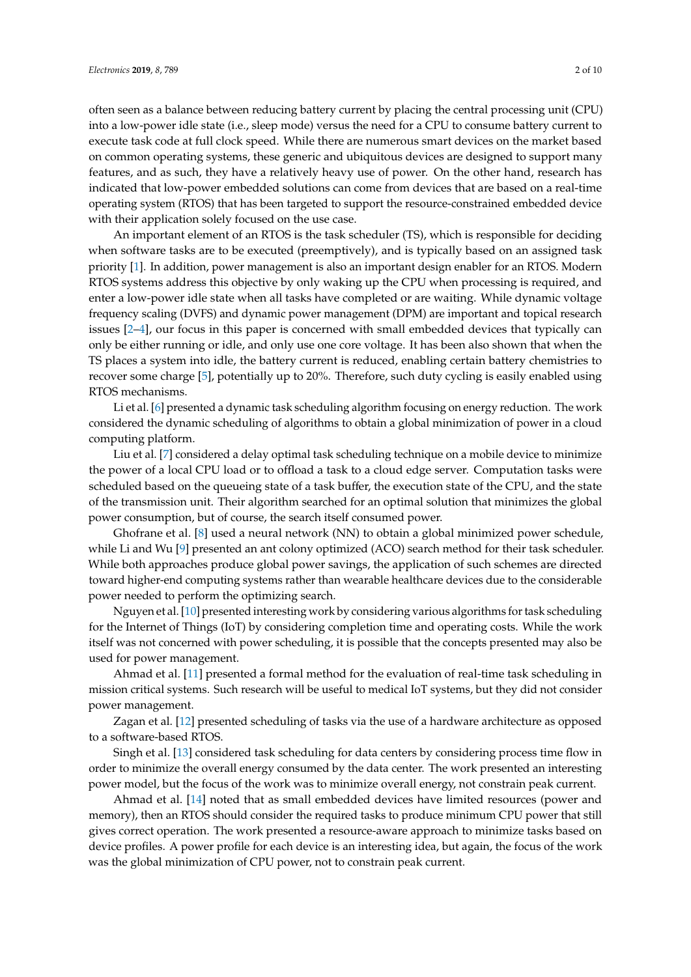often seen as a balance between reducing battery current by placing the central processing unit (CPU) into a low-power idle state (i.e., sleep mode) versus the need for a CPU to consume battery current to execute task code at full clock speed. While there are numerous smart devices on the market based on common operating systems, these generic and ubiquitous devices are designed to support many features, and as such, they have a relatively heavy use of power. On the other hand, research has indicated that low-power embedded solutions can come from devices that are based on a real-time operating system (RTOS) that has been targeted to support the resource-constrained embedded device with their application solely focused on the use case.

An important element of an RTOS is the task scheduler (TS), which is responsible for deciding when software tasks are to be executed (preemptively), and is typically based on an assigned task priority [\[1\]](#page-7-0). In addition, power management is also an important design enabler for an RTOS. Modern RTOS systems address this objective by only waking up the CPU when processing is required, and enter a low-power idle state when all tasks have completed or are waiting. While dynamic voltage frequency scaling (DVFS) and dynamic power management (DPM) are important and topical research issues [\[2–](#page-7-1)[4\]](#page-8-0), our focus in this paper is concerned with small embedded devices that typically can only be either running or idle, and only use one core voltage. It has been also shown that when the TS places a system into idle, the battery current is reduced, enabling certain battery chemistries to recover some charge [\[5\]](#page-8-1), potentially up to 20%. Therefore, such duty cycling is easily enabled using RTOS mechanisms.

Li et al. [\[6\]](#page-8-2) presented a dynamic task scheduling algorithm focusing on energy reduction. The work considered the dynamic scheduling of algorithms to obtain a global minimization of power in a cloud computing platform.

Liu et al. [\[7\]](#page-8-3) considered a delay optimal task scheduling technique on a mobile device to minimize the power of a local CPU load or to offload a task to a cloud edge server. Computation tasks were scheduled based on the queueing state of a task buffer, the execution state of the CPU, and the state of the transmission unit. Their algorithm searched for an optimal solution that minimizes the global power consumption, but of course, the search itself consumed power.

Ghofrane et al. [\[8\]](#page-8-4) used a neural network (NN) to obtain a global minimized power schedule, while Li and Wu [\[9\]](#page-8-5) presented an ant colony optimized (ACO) search method for their task scheduler. While both approaches produce global power savings, the application of such schemes are directed toward higher-end computing systems rather than wearable healthcare devices due to the considerable power needed to perform the optimizing search.

Nguyen et al. [\[10\]](#page-8-6) presented interesting work by considering various algorithms for task scheduling for the Internet of Things (IoT) by considering completion time and operating costs. While the work itself was not concerned with power scheduling, it is possible that the concepts presented may also be used for power management.

Ahmad et al. [\[11\]](#page-8-7) presented a formal method for the evaluation of real-time task scheduling in mission critical systems. Such research will be useful to medical IoT systems, but they did not consider power management.

Zagan et al. [\[12\]](#page-8-8) presented scheduling of tasks via the use of a hardware architecture as opposed to a software-based RTOS.

Singh et al. [\[13\]](#page-8-9) considered task scheduling for data centers by considering process time flow in order to minimize the overall energy consumed by the data center. The work presented an interesting power model, but the focus of the work was to minimize overall energy, not constrain peak current.

Ahmad et al. [\[14\]](#page-8-10) noted that as small embedded devices have limited resources (power and memory), then an RTOS should consider the required tasks to produce minimum CPU power that still gives correct operation. The work presented a resource-aware approach to minimize tasks based on device profiles. A power profile for each device is an interesting idea, but again, the focus of the work was the global minimization of CPU power, not to constrain peak current.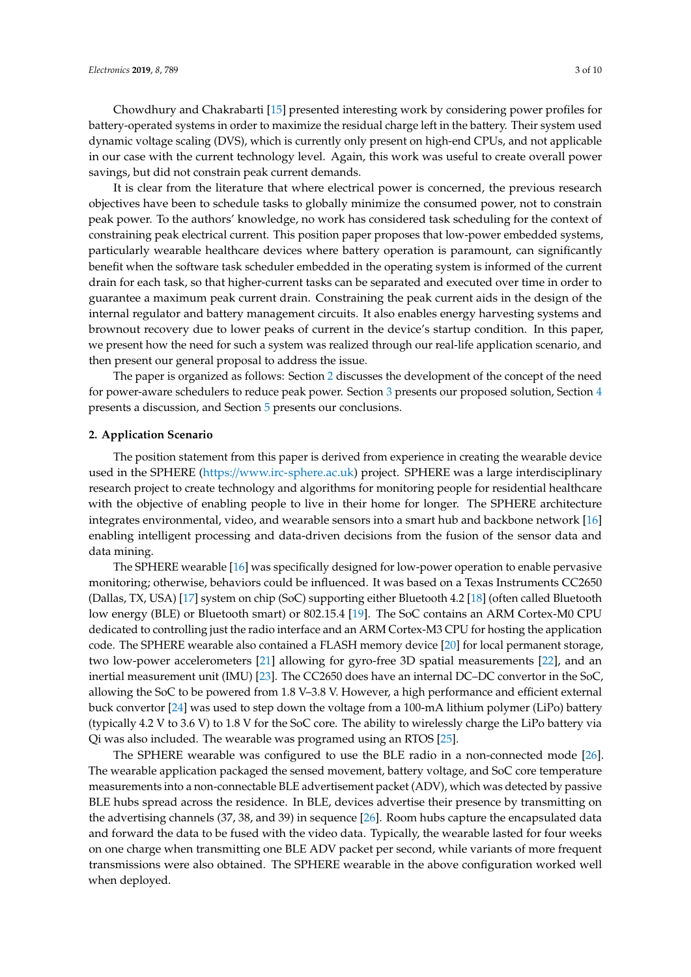Chowdhury and Chakrabarti [\[15\]](#page-8-11) presented interesting work by considering power profiles for battery-operated systems in order to maximize the residual charge left in the battery. Their system used dynamic voltage scaling (DVS), which is currently only present on high-end CPUs, and not applicable in our case with the current technology level. Again, this work was useful to create overall power savings, but did not constrain peak current demands.

It is clear from the literature that where electrical power is concerned, the previous research objectives have been to schedule tasks to globally minimize the consumed power, not to constrain peak power. To the authors' knowledge, no work has considered task scheduling for the context of constraining peak electrical current. This position paper proposes that low-power embedded systems, particularly wearable healthcare devices where battery operation is paramount, can significantly benefit when the software task scheduler embedded in the operating system is informed of the current drain for each task, so that higher-current tasks can be separated and executed over time in order to guarantee a maximum peak current drain. Constraining the peak current aids in the design of the internal regulator and battery management circuits. It also enables energy harvesting systems and brownout recovery due to lower peaks of current in the device's startup condition. In this paper, we present how the need for such a system was realized through our real-life application scenario, and then present our general proposal to address the issue.

The paper is organized as follows: Section [2](#page-2-0) discusses the development of the concept of the need for power-aware schedulers to reduce peak power. Section [3](#page-5-0) presents our proposed solution, Section [4](#page-7-2) presents a discussion, and Section [5](#page-7-3) presents our conclusions.

### <span id="page-2-0"></span>**2. Application Scenario**

The position statement from this paper is derived from experience in creating the wearable device used in the SPHERE (https://[www.irc-sphere.ac.uk\)](https://www.irc-sphere.ac.uk) project. SPHERE was a large interdisciplinary research project to create technology and algorithms for monitoring people for residential healthcare with the objective of enabling people to live in their home for longer. The SPHERE architecture integrates environmental, video, and wearable sensors into a smart hub and backbone network [\[16\]](#page-8-12) enabling intelligent processing and data-driven decisions from the fusion of the sensor data and data mining.

The SPHERE wearable [\[16\]](#page-8-12) was specifically designed for low-power operation to enable pervasive monitoring; otherwise, behaviors could be influenced. It was based on a Texas Instruments CC2650 (Dallas, TX, USA) [\[17\]](#page-8-13) system on chip (SoC) supporting either Bluetooth 4.2 [\[18\]](#page-8-14) (often called Bluetooth low energy (BLE) or Bluetooth smart) or 802.15.4 [\[19\]](#page-8-15). The SoC contains an ARM Cortex-M0 CPU dedicated to controlling just the radio interface and an ARM Cortex-M3 CPU for hosting the application code. The SPHERE wearable also contained a FLASH memory device [\[20\]](#page-8-16) for local permanent storage, two low-power accelerometers [\[21\]](#page-8-17) allowing for gyro-free 3D spatial measurements [\[22\]](#page-8-18), and an inertial measurement unit (IMU) [\[23\]](#page-8-19). The CC2650 does have an internal DC–DC convertor in the SoC, allowing the SoC to be powered from 1.8 V–3.8 V. However, a high performance and efficient external buck convertor [\[24\]](#page-8-20) was used to step down the voltage from a 100-mA lithium polymer (LiPo) battery (typically 4.2 V to 3.6 V) to 1.8 V for the SoC core. The ability to wirelessly charge the LiPo battery via Qi was also included. The wearable was programed using an RTOS [\[25\]](#page-8-21).

The SPHERE wearable was configured to use the BLE radio in a non-connected mode [\[26\]](#page-9-0). The wearable application packaged the sensed movement, battery voltage, and SoC core temperature measurements into a non-connectable BLE advertisement packet (ADV), which was detected by passive BLE hubs spread across the residence. In BLE, devices advertise their presence by transmitting on the advertising channels (37, 38, and 39) in sequence [\[26\]](#page-9-0). Room hubs capture the encapsulated data and forward the data to be fused with the video data. Typically, the wearable lasted for four weeks on one charge when transmitting one BLE ADV packet per second, while variants of more frequent transmissions were also obtained. The SPHERE wearable in the above configuration worked well when deployed.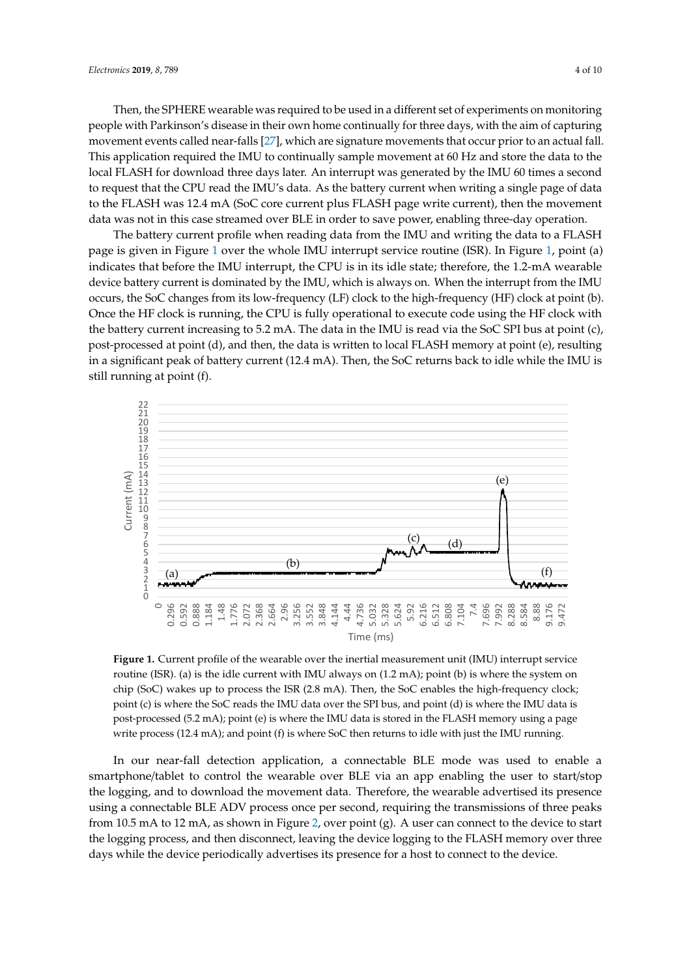Then, the SPHERE wearable was required to be used in a different set of experiments on monitoring Then, the SPHERE wearable was required to be used in a different set of experiments on people with Parkinson's disease in their own home continually for three days, with the aim of capturing movement events called near-falls [\[27\]](#page-9-1), which are signature movements that occur prior to an actual fall. This application required the IMU to continually sample movement at 60 Hz and store the data to the local FLASH for download three days later. An interrupt was generated by the IMU 60 times a second to request that the CPU read the IMU's data. As the battery current when writing a single page of data to the FLASH was 12.4 mA (SoC core current plus FLASH page write current), then the movement data was not in this case streamed over BLE in order to save power, enabling three-day operation.

The battery current profile when reading data from the IMU and writing the data to a FLASH page is given in Figure [1](#page-3-0) over the whole IMU interrupt service routine (ISR). In Figure [1,](#page-3-0) point (a) indicates that before the IMU interrupt, the CPU is in its idle state; therefore, the 1.2-mA wearable device battery current is dominated by the IMU, which is always on. When the interrupt from the IMU occurs, the SoC changes from its low-frequency (LF) clock to the high-frequency (HF) clock at point (b). Once the HF clock is running, the CPU is fully operational to execute code using the HF clock with the battery current increasing to 5.2 mA. The data in the IMU is read via the SoC SPI bus at point (c), post-processed at point (d), and then, the data is written to local FLASH memory at point (e), resulting point in a significant peak of battery current (12.4 mA). Then, the SoC returns back to idle while the IMU is still running at point (f).  $\mathbf{e}^{(n)}$  results in a significant peak of battery current (12.4 mA). Then, the SoC returns back to the SoC returns back to identificant  $\mathbf{f}_k$ 

<span id="page-3-0"></span>

**Figure 1.** Current profile of the wearable over the inertial measurement unit (IMU) interrupt service **Figure 1.** Current profile of the wearable over the inertial measurement unit (IMU) interrupt service routine (ISR). (a) is the idle current with IMU always on  $(1.2 \text{ mA})$ ; point (b) is where the system on chip (SoC) wakes up to process the ISR (2.8 mA). Then, the SoC enables the high-frequency clock; chip (SoC) wakes up to process the ISR (2.8 mA). Then, the SoC enables the high-frequency clock; point (c) is where the SoC reads the IMU data over the SPI bus, and point (d) is where the IMU data point (c) is where the SoC reads the IMU data over the SPI bus, and point (d) is where the IMU data is is post-processed (5.2 mA); point (e) is where the IMU data is stored in the FLASH memory using a post-processed (5.2 mA); point (e) is where the IMU data is stored in the FLASH memory using a page write process (12.4 mA); and point (f) is where SoC then returns to idle with just the IMU running.

In our near-fall detection application, a connectable BLE mode was used to enable a smartphone/tablet to control the wearable over BLE via an app enabling the user to start/stop the logging, and to download the movement data. Therefore, the wearable advertised its presence using a connectable BLE ADV process once per second, requiring the transmissions of three peaks from 10.5 mA to 12 mA, as shown in Figure [2,](#page-4-0) over point (g). A user can connect to the device to start the logging process, and then disconnect, leaving the device logging to the FLASH memory over three days while the device periodically advertises its presence for a host to connect to the device.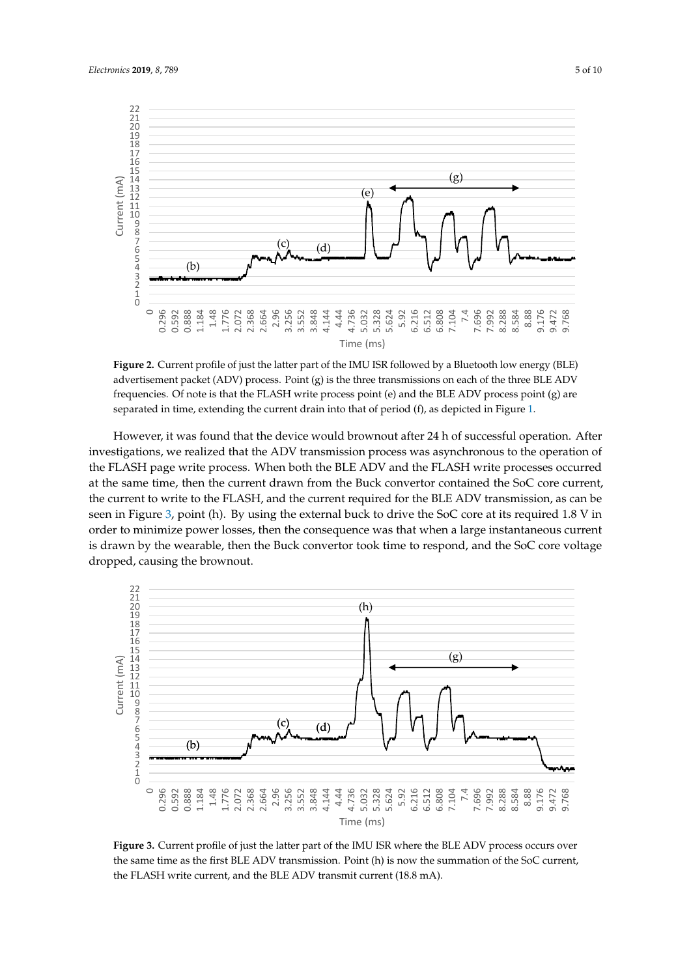<span id="page-4-0"></span>

advertisement packet (ADV) process. Point (g) is the three transmissions on each of the three BLE ADV frequencies. Of note is that the FLASH write process point (e) and the BLE ADV process point (g) are separated in time, extending the current drain into that of period (f), as depicted in Figure [1.](#page-3-0) **Figure 2.** Current profile of just the latter part of the IMU ISR followed by a Bluetooth low energy (BLE) Figure 2. Current profit of just the tatter part of the three tott followed by a blackboth fow energy (bEE)  $B = \frac{B}{B}$  from  $B = \frac{B}{B}$  with  $B$  and the FLASH write process point  $B$  and the BLE ADV process. Point  $B$  is the BLE ADV process point  $B$ 

1. However, it was found that the device would brownout after 24 h of successful operation. After the FLASH page write process. When both the BLE ADV and the FLASH write processes occurred at the same time, then the current drawn from the Buck convertor contained the SoC core current, the current to write to the FLASH, and the current required for the BLE ADV transmission, as can be seen in Figure [3,](#page-4-1) point (h). By using the external buck to drive the SoC core at its required 1.8 V in order to minimize power losses, then the consequence was that when a large instantaneous current is drawn by the wearable, then the Buck convertor took time to respond, and the SoC core voltage dropped, causing the brownout. investigations, we realized that the ADV transmission process was asynchronous to the operation of drawn by the wearable, then the Buck converted took time to respond, and the SoC core voltage

<span id="page-4-1"></span>

the same time as the first BLE ADV transmission. Point (h) is now the summation of the SoC current, the FLASH write current, and the BLE ADV transmit current (18.8 mA). Figure 3. Current profile of just the latter part of the IMU ISR where the BLE ADV process occurs over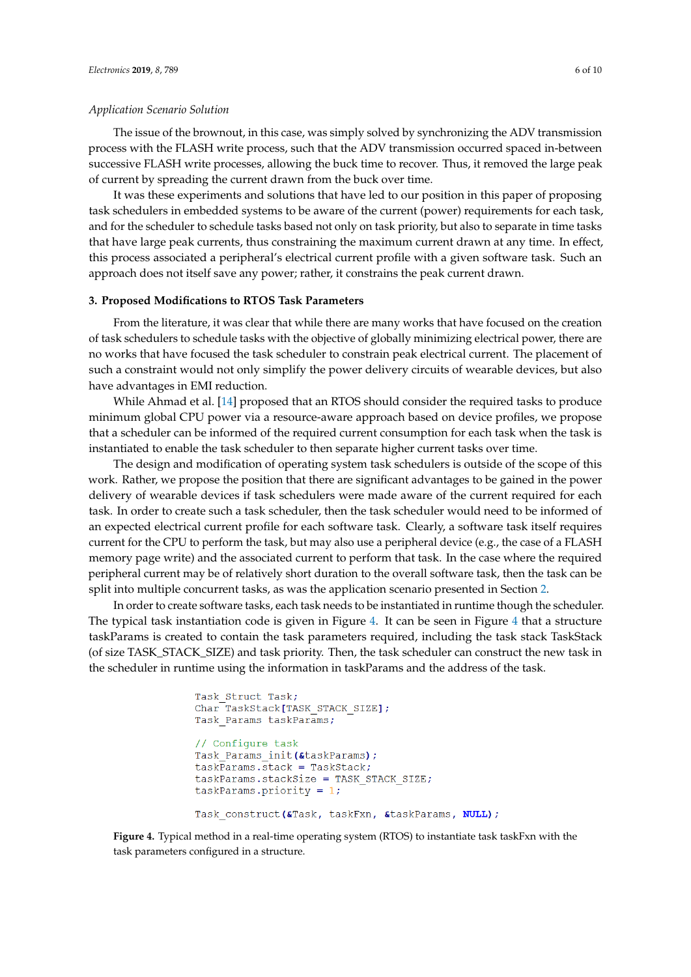#### *Application Scenario Solution Application Scenario Solution*

The issue of the brownout, in this case, was simply solved by synchronizing the ADV transmission process with the FLASH write process, such that the ADV transmission occurred spaced in-between<br>Thus, it removes successive FLASH write processes, allowing the buck time to recover. Thus, it removed the large peak of current by spreading the current drawn from the buck over time. The issue of the brownout, in this case, was simply solved by synchronizing the ADV the issue of the Brownout, in this case, was simply solved by synchronizing the ADV transmission

It was these experiments and solutions that have led to our position in this paper of proposing task schedulers in embedded systems to be aware of the current (power) requirements for each task, and for the scheduler to schedule tasks based not only on task priority, but also to separate in time tasks based not only on task priority, but also to separate in time tasks that have large peak currents, thus constraining the maximum current drawn at any time. In effect, the such a given so the current profile with a given so the current profile with a given so the current profile with a give this process associated a peripheral's electrical current profile with a given software task. Such an approach does not itself save any power; rather, it constrains the peak current drawn.

## <span id="page-5-0"></span>**3. Proposed Modifications to RTOS Task Parameters 3. Proposed Modifications to RTOS Task Parameters**

From the literature, it was clear that while there are many works that have focused on the creation From the literature, it was clear that while there are many works that have focused on the of task schedulers to schedule tasks with the objective of globally minimizing electrical power, there are powers that have focused the task scheduler to constrain peak electrical current. The placement of In the placement of such a constraint of such a constraint of the power delivery circuits of wearable devices, but also such a constraint would not only simplify the power delivery circuits of wearable devices, but also have advantages in EMI reduction. devices, but also have advantages in EMI reduction.

While Ahmad et al. [\[14\]](#page-8-10) proposed that an RTOS should consider the required tasks to produce While Ahmad et al. [14] proposed that an RTOS should consider the required tasks to produce minimum global CPU power via a resource-aware approach based on device profiles, we propose minimum global CPU power via a resource-aware approach based on device profiles, we propose that a scheduler can be informed of the required current consumption for each task when the task is that a scheduler can be informed of the required current consumption for each task when the task is instantiated to enable the task scheduler to then separate higher current tasks over time. instantiated to enable the task scheduler to then separate higher current tasks over time.

The design and modification of operating system task schedulers is outside of the scope of this The design and modification of operating system task schedulers is outside of the scope of this work. Rather, we propose the position that there are significant advantages to be gained in the power work. Rather, we propose the position that there are significant advantages to be gained in the power delivery of wearable devices if task schedulers were made aware of the current required for each delivery of wearable devices if task schedulers were made aware of the current required for each task. In order to create such a task scheduler, then the task scheduler would need to be informed of task. In order to create such a task scheduler, then the task scheduler would need to be informed of an expected electrical current profile for each software task. Clearly, a software task itself requires an expected electrical current profile for each software task. Clearly, a software task itself requires current for the CPU to perform the task, but may also use a peripheral device (e.g., the case of a FLASH current for the CPU to perform the task, but may also use a peripheral device (e.g., the case of a extrement is the state of perform the weak, such that, also use a perform that task. In the case where the required memory page write, and are associated carrent to perform that dish at the case writed are required peripheral current may be of relatively short duration to the overall software task, then the task can be perprieral can entry state of redaining state dialation to the creatin service task, and the task can be split into multiple concurrent tasks, as was the application scenario presented in Section [2.](#page-2-0)

<span id="page-5-1"></span>In order to create software tasks, each task needs to be instantiated in runtime though the scheduler. In order to create serving tasks, each tasks, each tasks, the constantiated in running though the schedules.<br>The typical task instantiation code is given in Figure [4.](#page-5-1) It can be seen in Figure [4](#page-5-1) that a structure the typical task instantiation code is given in Figure 4. It can be seen in Figure 4 that a stracture taskParams is created to contain the task parameters required, including the task stack TaskStack their trains is created to contain the task priority. Then, the task scheduler can construct the new task in (of size TASK\_STACK\_SIZE) and task priority. Then, the task scheduler can construct the new task in the scheduler in runtime using the information in taskParams and the address of the task.  $\mathbf{r}$ new task in the scheduler in the scheduler in the scheduler in the scheduler in the address of the task.

```
Task Struct Task;
Char TaskStack[TASK STACK SIZE];
Task Params taskParams;
// Configure task
Task Params init (&taskParams);
taskParams.\overline{stack} = TaskStack;taskParams.stackSize = TASK STACK SIZE;
taskParameters.printy = 1;Task construct (&Task, taskFxn, &taskParams, NULL);
```
**Figure 4.** Typical method in a real-time operating system (RTOS) to instantiate task taskFxn with the **Figure 4.** Typical method in a real-time operating system (RTOS) to instantiate task taskFxn with the task parameters configured in a structure. task parameters configured in a structure.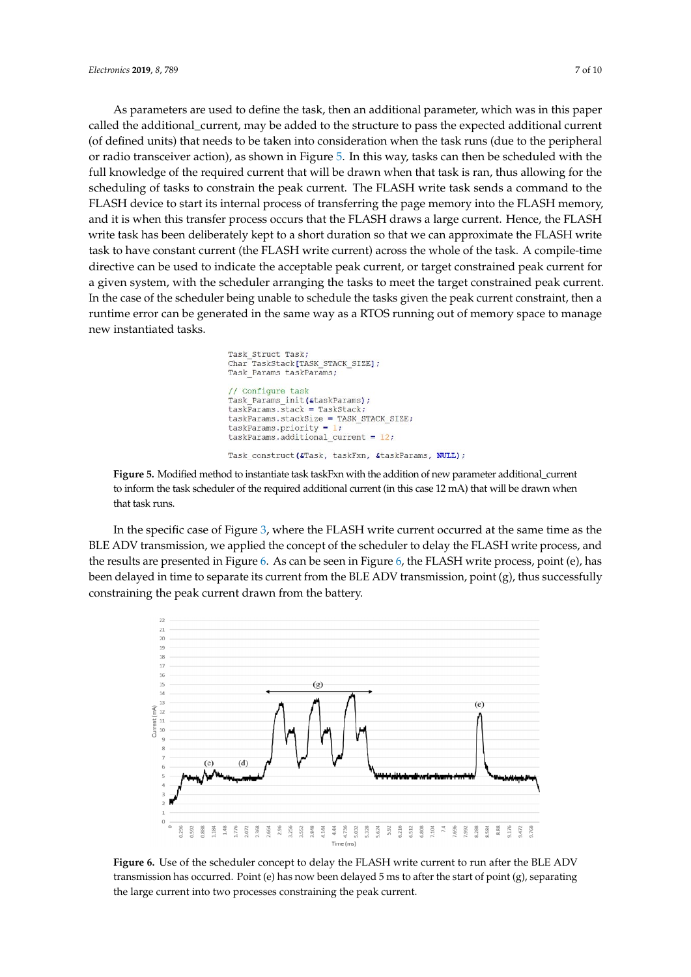As parameters are used to define the task, then an additional parameter, which was in this paper called the additional\_current, may be added to the structure to pass the expected additional current (of defined units) that needs to be taken into consideration when the task runs (due to the peripheral or radio transceiver action), as shown in Figure [5.](#page-6-0) In this way, tasks can then be scheduled with the full knowledge of the required current that will be drawn when that task is ran, thus allowing for the scheduling of tasks to constrain the peak current. The FLASH write task sends a command to the<br>FLASH write tasks can then be scheduled with the scheduled with the scheduled with the schedule with the sched FLASH device to start its internal process of transferring the page memory into the FLASH memory, and it is when this transfer process occurs that the FLASH draws a large current. Hence, the FLASH write task has been deliberately kept to a short duration so that we can approximate the FLASH write task to have constant current (the FLASH write current) across the whole of the task. A compile-time directive can be used to indicate the acceptable peak current, or target constrained peak current for a given system, with the scheduler arranging the tasks to meet the target constrained peak current. In the case of the scheduler being unable to schedule the tasks given the peak current constraint, then a runtime error can be generated in the same way as a RTOS running out of memory space to manage new instantiated tasks.  $s$  when this transfer process occurs that the FLASH draws a large current. Hence, the  $s$ task to have constant current (the FLASH write current) across the whole of the task. A compile-time runtime error can be generated in the same way as a RTOS running out of memory space to manage ware can be used to indicate the acceptable peak current, or target constrained peak curre  $t_{\rm{max}}$  to the flash constant current current (the factor of the tasks the whole of the tasks the compiler of the task. directive can be used the used to indicate the acceptable peak constrained peak current, or target constraint for a



Task construct (&Task, taskFxn, &taskParams, NULL);

<span id="page-6-0"></span>**Figure 5.** Modified method to instantiate task taskFxn with the addition of new parameter **Figure 5.** Modified method to instantiate task taskFxn with the addition of new parameter additional\_current to inform the task scheduler of the required additional current (in this case 12 mA) that will be drawn when<br>.  $\mathbf{r}$ that task runs.  $\alpha$  and  $\alpha$  informal current to informal current (in this case 12 mA) current (in this case 12 mA) current (in this case 12 mA) current (in this case 12 mA) current (in this case 12 mA) current (in this case 12 mA) curr

 $\Gamma$  the specific case of FIGURE 3, where the same time at the same time at the same time at the same time as the same time as the same time at the same time at the same time as the same time at the same time as the same In the specific case of Figure [3,](#page-4-1) where the FLASH write current occurred at the same time as the BLE ADV transmission, we applied the concept of the scheduler to delay the FLASH write process, and the results are presented in Figure 6. As can be seen in Figure [6,](#page-6-1) the FLASH write process, point (e), has been delayed in time to separate its current from the BLE ADV transmission, point (g), thus successfully  $\lim_{n \to \infty}$  constraining the peak current drawn from the battery. aling the peak current drawn from the battery.

<span id="page-6-1"></span>

**Figure 6.** Use of the scheduler concept to delay the FLASH write current to run after the BLE ADV transmission has occurred. Point (e) has now been delayed 5 ms to after the start of point (g), separating the large current into two processes constraining the peak current.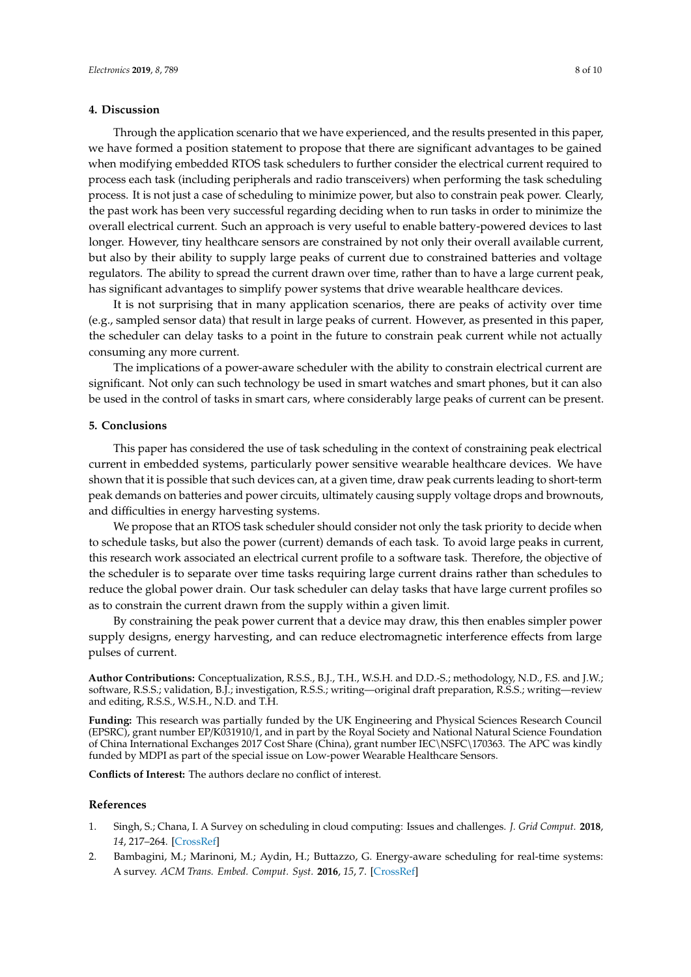### <span id="page-7-2"></span>**4. Discussion**

Through the application scenario that we have experienced, and the results presented in this paper, we have formed a position statement to propose that there are significant advantages to be gained when modifying embedded RTOS task schedulers to further consider the electrical current required to process each task (including peripherals and radio transceivers) when performing the task scheduling process. It is not just a case of scheduling to minimize power, but also to constrain peak power. Clearly, the past work has been very successful regarding deciding when to run tasks in order to minimize the overall electrical current. Such an approach is very useful to enable battery-powered devices to last longer. However, tiny healthcare sensors are constrained by not only their overall available current, but also by their ability to supply large peaks of current due to constrained batteries and voltage regulators. The ability to spread the current drawn over time, rather than to have a large current peak, has significant advantages to simplify power systems that drive wearable healthcare devices.

It is not surprising that in many application scenarios, there are peaks of activity over time (e.g., sampled sensor data) that result in large peaks of current. However, as presented in this paper, the scheduler can delay tasks to a point in the future to constrain peak current while not actually consuming any more current.

The implications of a power-aware scheduler with the ability to constrain electrical current are significant. Not only can such technology be used in smart watches and smart phones, but it can also be used in the control of tasks in smart cars, where considerably large peaks of current can be present.

### <span id="page-7-3"></span>**5. Conclusions**

This paper has considered the use of task scheduling in the context of constraining peak electrical current in embedded systems, particularly power sensitive wearable healthcare devices. We have shown that it is possible that such devices can, at a given time, draw peak currents leading to short-term peak demands on batteries and power circuits, ultimately causing supply voltage drops and brownouts, and difficulties in energy harvesting systems.

We propose that an RTOS task scheduler should consider not only the task priority to decide when to schedule tasks, but also the power (current) demands of each task. To avoid large peaks in current, this research work associated an electrical current profile to a software task. Therefore, the objective of the scheduler is to separate over time tasks requiring large current drains rather than schedules to reduce the global power drain. Our task scheduler can delay tasks that have large current profiles so as to constrain the current drawn from the supply within a given limit.

By constraining the peak power current that a device may draw, this then enables simpler power supply designs, energy harvesting, and can reduce electromagnetic interference effects from large pulses of current.

**Author Contributions:** Conceptualization, R.S.S., B.J., T.H., W.S.H. and D.D.-S.; methodology, N.D., F.S. and J.W.; software, R.S.S.; validation, B.J.; investigation, R.S.S.; writing—original draft preparation, R.S.S.; writing—review and editing, R.S.S., W.S.H., N.D. and T.H.

**Funding:** This research was partially funded by the UK Engineering and Physical Sciences Research Council (EPSRC), grant number EP/K031910/1, and in part by the Royal Society and National Natural Science Foundation of China International Exchanges 2017 Cost Share (China), grant number IEC\NSFC\170363. The APC was kindly funded by MDPI as part of the special issue on Low-power Wearable Healthcare Sensors.

**Conflicts of Interest:** The authors declare no conflict of interest.

### **References**

- <span id="page-7-0"></span>1. Singh, S.; Chana, I. A Survey on scheduling in cloud computing: Issues and challenges. *J. Grid Comput.* **2018**, *14*, 217–264. [\[CrossRef\]](http://dx.doi.org/10.1007/s10723-015-9359-2)
- <span id="page-7-1"></span>2. Bambagini, M.; Marinoni, M.; Aydin, H.; Buttazzo, G. Energy-aware scheduling for real-time systems: A survey. *ACM Trans. Embed. Comput. Syst.* **2016**, *15*, 7. [\[CrossRef\]](http://dx.doi.org/10.1145/2808231)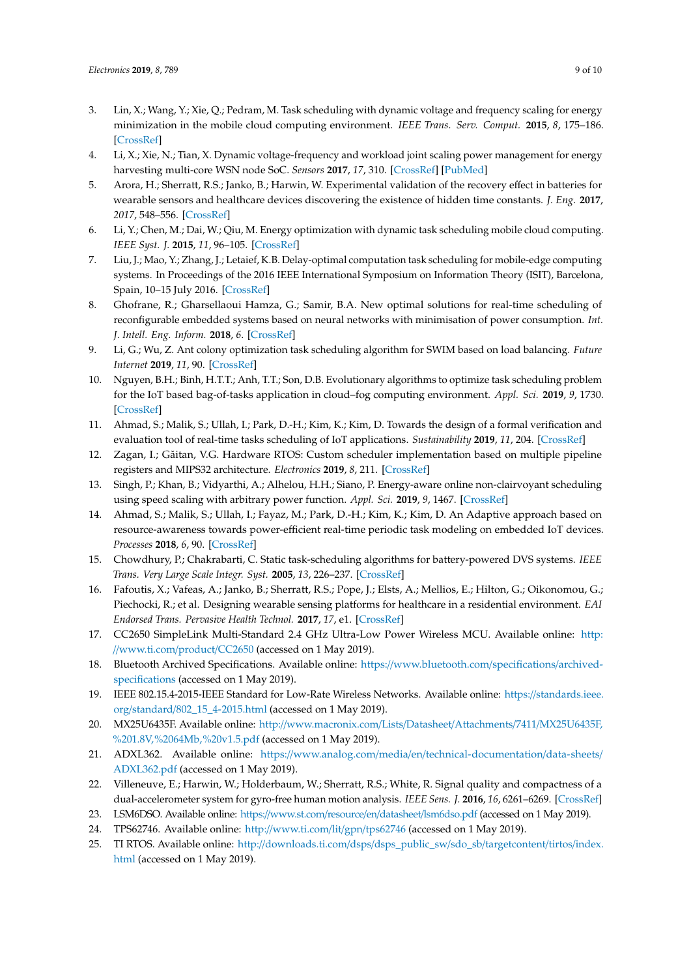- 3. Lin, X.; Wang, Y.; Xie, Q.; Pedram, M. Task scheduling with dynamic voltage and frequency scaling for energy minimization in the mobile cloud computing environment. *IEEE Trans. Serv. Comput.* **2015**, *8*, 175–186. [\[CrossRef\]](http://dx.doi.org/10.1109/TSC.2014.2381227)
- <span id="page-8-0"></span>4. Li, X.; Xie, N.; Tian, X. Dynamic voltage-frequency and workload joint scaling power management for energy harvesting multi-core WSN node SoC. *Sensors* **2017**, *17*, 310. [\[CrossRef\]](http://dx.doi.org/10.3390/s17020310) [\[PubMed\]](http://www.ncbi.nlm.nih.gov/pubmed/28208730)
- <span id="page-8-1"></span>5. Arora, H.; Sherratt, R.S.; Janko, B.; Harwin, W. Experimental validation of the recovery effect in batteries for wearable sensors and healthcare devices discovering the existence of hidden time constants. *J. Eng.* **2017**, *2017*, 548–556. [\[CrossRef\]](http://dx.doi.org/10.1049/joe.2017.0303)
- <span id="page-8-2"></span>6. Li, Y.; Chen, M.; Dai, W.; Qiu, M. Energy optimization with dynamic task scheduling mobile cloud computing. *IEEE Syst. J.* **2015**, *11*, 96–105. [\[CrossRef\]](http://dx.doi.org/10.1109/JSYST.2015.2442994)
- <span id="page-8-3"></span>7. Liu, J.; Mao, Y.; Zhang, J.; Letaief, K.B. Delay-optimal computation task scheduling for mobile-edge computing systems. In Proceedings of the 2016 IEEE International Symposium on Information Theory (ISIT), Barcelona, Spain, 10–15 July 2016. [\[CrossRef\]](http://dx.doi.org/10.1109/ISIT.2016.7541539)
- <span id="page-8-4"></span>8. Ghofrane, R.; Gharsellaoui Hamza, G.; Samir, B.A. New optimal solutions for real-time scheduling of reconfigurable embedded systems based on neural networks with minimisation of power consumption. *Int. J. Intell. Eng. Inform.* **2018**, *6*. [\[CrossRef\]](http://dx.doi.org/10.1504/IJIEI.2018.096581)
- <span id="page-8-5"></span>9. Li, G.; Wu, Z. Ant colony optimization task scheduling algorithm for SWIM based on load balancing. *Future Internet* **2019**, *11*, 90. [\[CrossRef\]](http://dx.doi.org/10.3390/fi11040090)
- <span id="page-8-6"></span>10. Nguyen, B.H.; Binh, H.T.T.; Anh, T.T.; Son, D.B. Evolutionary algorithms to optimize task scheduling problem for the IoT based bag-of-tasks application in cloud–fog computing environment. *Appl. Sci.* **2019**, *9*, 1730. [\[CrossRef\]](http://dx.doi.org/10.3390/app9091730)
- <span id="page-8-7"></span>11. Ahmad, S.; Malik, S.; Ullah, I.; Park, D.-H.; Kim, K.; Kim, D. Towards the design of a formal verification and evaluation tool of real-time tasks scheduling of IoT applications. *Sustainability* **2019**, *11*, 204. [\[CrossRef\]](http://dx.doi.org/10.3390/su11010204)
- <span id="page-8-8"></span>12. Zagan, I.; Găitan, V.G. Hardware RTOS: Custom scheduler implementation based on multiple pipeline registers and MIPS32 architecture. *Electronics* **2019**, *8*, 211. [\[CrossRef\]](http://dx.doi.org/10.3390/electronics8020211)
- <span id="page-8-9"></span>13. Singh, P.; Khan, B.; Vidyarthi, A.; Alhelou, H.H.; Siano, P. Energy-aware online non-clairvoyant scheduling using speed scaling with arbitrary power function. *Appl. Sci.* **2019**, *9*, 1467. [\[CrossRef\]](http://dx.doi.org/10.3390/app9071467)
- <span id="page-8-10"></span>14. Ahmad, S.; Malik, S.; Ullah, I.; Fayaz, M.; Park, D.-H.; Kim, K.; Kim, D. An Adaptive approach based on resource-awareness towards power-efficient real-time periodic task modeling on embedded IoT devices. *Processes* **2018**, *6*, 90. [\[CrossRef\]](http://dx.doi.org/10.3390/pr6070090)
- <span id="page-8-11"></span>15. Chowdhury, P.; Chakrabarti, C. Static task-scheduling algorithms for battery-powered DVS systems. *IEEE Trans. Very Large Scale Integr. Syst.* **2005**, *13*, 226–237. [\[CrossRef\]](http://dx.doi.org/10.1109/TVLSI.2004.840771)
- <span id="page-8-12"></span>16. Fafoutis, X.; Vafeas, A.; Janko, B.; Sherratt, R.S.; Pope, J.; Elsts, A.; Mellios, E.; Hilton, G.; Oikonomou, G.; Piechocki, R.; et al. Designing wearable sensing platforms for healthcare in a residential environment. *EAI Endorsed Trans. Pervasive Health Technol.* **2017**, *17*, e1. [\[CrossRef\]](http://dx.doi.org/10.4108/eai.7-9-2017.153063)
- <span id="page-8-13"></span>17. CC2650 SimpleLink Multi-Standard 2.4 GHz Ultra-Low Power Wireless MCU. Available online: [http:](http://www.ti.com/product/CC2650) //[www.ti.com](http://www.ti.com/product/CC2650)/product/CC2650 (accessed on 1 May 2019).
- <span id="page-8-14"></span>18. Bluetooth Archived Specifications. Available online: https://[www.bluetooth.com](https://www.bluetooth.com/specifications/archived-specifications)/specifications/archived[specifications](https://www.bluetooth.com/specifications/archived-specifications) (accessed on 1 May 2019).
- <span id="page-8-15"></span>19. IEEE 802.15.4-2015-IEEE Standard for Low-Rate Wireless Networks. Available online: https://[standards.ieee.](https://standards.ieee.org/standard/802_15_4-2015.html) org/standard/[802\\_15\\_4-2015.html](https://standards.ieee.org/standard/802_15_4-2015.html) (accessed on 1 May 2019).
- <span id="page-8-16"></span>20. MX25U6435F. Available online: http://[www.macronix.com](http://www.macronix.com/Lists/Datasheet/Attachments/7411/MX25U6435F,%201.8V,%2064Mb,%20v1.5.pdf)/Lists/Datasheet/Attachments/7411/MX25U6435F, [%201.8V,%2064Mb,%20v1.5.pdf](http://www.macronix.com/Lists/Datasheet/Attachments/7411/MX25U6435F,%201.8V,%2064Mb,%20v1.5.pdf) (accessed on 1 May 2019).
- <span id="page-8-17"></span>21. ADXL362. Available online: https://www.analog.com/media/en/[technical-documentation](https://www.analog.com/media/en/technical-documentation/data-sheets/ADXL362.pdf)/data-sheets/ [ADXL362.pdf](https://www.analog.com/media/en/technical-documentation/data-sheets/ADXL362.pdf) (accessed on 1 May 2019).
- <span id="page-8-18"></span>22. Villeneuve, E.; Harwin, W.; Holderbaum, W.; Sherratt, R.S.; White, R. Signal quality and compactness of a dual-accelerometer system for gyro-free human motion analysis. *IEEE Sens. J.* **2016**, *16*, 6261–6269. [\[CrossRef\]](http://dx.doi.org/10.1109/JSEN.2016.2582262)
- <span id="page-8-19"></span>23. LSM6DSO. Available online: https://[www.st.com](https://www.st.com/resource/en/datasheet/lsm6dso.pdf)/resource/en/datasheet/lsm6dso.pdf (accessed on 1 May 2019).
- <span id="page-8-20"></span>24. TPS62746. Available online: http://[www.ti.com](http://www.ti.com/lit/gpn/tps62746)/lit/gpn/tps62746 (accessed on 1 May 2019).
- <span id="page-8-21"></span>25. TI RTOS. Available online: http://[downloads.ti.com](http://downloads.ti.com/dsps/dsps_public_sw/sdo_sb/targetcontent/tirtos/index.html)/dsps/dsps\_public\_sw/sdo\_sb/targetcontent/tirtos/index. [html](http://downloads.ti.com/dsps/dsps_public_sw/sdo_sb/targetcontent/tirtos/index.html) (accessed on 1 May 2019).